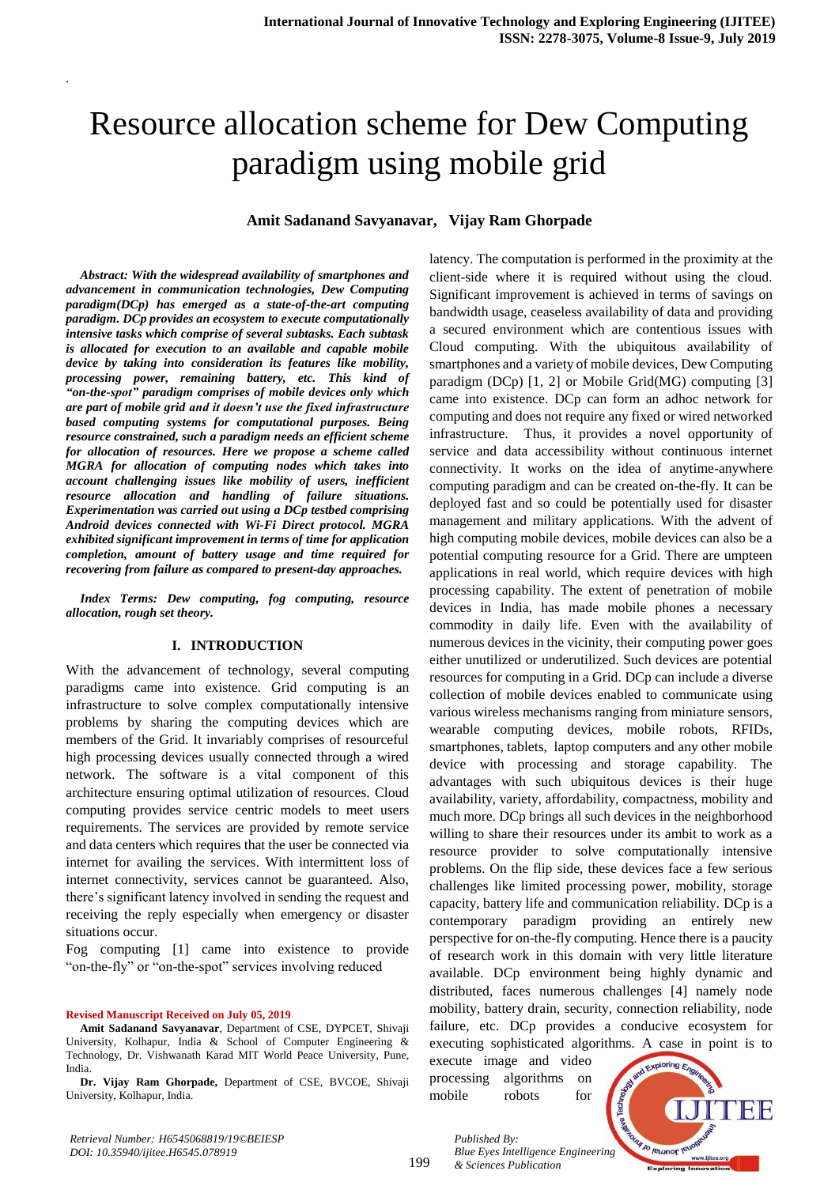# Resource allocation scheme for Dew Computing paradigm using mobile grid

## **Amit Sadanand Savyanavar, Vijay Ram Ghorpade**

*Abstract: With the widespread availability of smartphones and advancement in communication technologies, Dew Computing paradigm(DCp) has emerged as a state-of-the-art computing paradigm. DCp provides an ecosystem to execute computationally intensive tasks which comprise of several subtasks. Each subtask is allocated for execution to an available and capable mobile device by taking into consideration its features like mobility, processing power, remaining battery, etc. This kind of "on-the-spot" paradigm comprises of mobile devices only which are part of mobile grid and it doesn't use the fixed infrastructure based computing systems for computational purposes. Being resource constrained, such a paradigm needs an efficient scheme for allocation of resources. Here we propose a scheme called MGRA for allocation of computing nodes which takes into account challenging issues like mobility of users, inefficient resource allocation and handling of failure situations. Experimentation was carried out using a DCp testbed comprising Android devices connected with Wi-Fi Direct protocol. MGRA exhibited significant improvement in terms of time for application completion, amount of battery usage and time required for recovering from failure as compared to present-day approaches.*

.

*Index Terms: Dew computing, fog computing, resource allocation, rough set theory.*

## **I. INTRODUCTION**

With the advancement of technology, several computing paradigms came into existence. Grid computing is an infrastructure to solve complex computationally intensive problems by sharing the computing devices which are members of the Grid. It invariably comprises of resourceful high processing devices usually connected through a wired network. The software is a vital component of this architecture ensuring optimal utilization of resources. Cloud computing provides service centric models to meet users requirements. The services are provided by remote service and data centers which requires that the user be connected via internet for availing the services. With intermittent loss of internet connectivity, services cannot be guaranteed. Also, there's significant latency involved in sending the request and receiving the reply especially when emergency or disaster situations occur.

Fog computing [1] came into existence to provide "on-the-fly" or "on-the-spot" services involving reduced

#### **Revised Manuscript Received on July 05, 2019**

**Amit Sadanand Savyanavar**, Department of CSE, DYPCET, Shivaji University, Kolhapur, India & School of Computer Engineering & Technology, Dr. Vishwanath Karad MIT World Peace University, Pune, India.

**Dr. Vijay Ram Ghorpade,** Department of CSE, BVCOE, Shivaji University, Kolhapur, India.

latency. The computation is performed in the proximity at the client-side where it is required without using the cloud. Significant improvement is achieved in terms of savings on bandwidth usage, ceaseless availability of data and providing a secured environment which are contentious issues with Cloud computing. With the ubiquitous availability of smartphones and a variety of mobile devices, Dew Computing paradigm (DCp) [1, 2] or Mobile Grid(MG) computing [3] came into existence. DCp can form an adhoc network for computing and does not require any fixed or wired networked infrastructure. Thus, it provides a novel opportunity of service and data accessibility without continuous internet connectivity. It works on the idea of anytime-anywhere computing paradigm and can be created on-the-fly. It can be deployed fast and so could be potentially used for disaster management and military applications. With the advent of high computing mobile devices, mobile devices can also be a potential computing resource for a Grid. There are umpteen applications in real world, which require devices with high processing capability. The extent of penetration of mobile devices in India, has made mobile phones a necessary commodity in daily life. Even with the availability of numerous devices in the vicinity, their computing power goes either unutilized or underutilized. Such devices are potential resources for computing in a Grid. DCp can include a diverse collection of mobile devices enabled to communicate using various wireless mechanisms ranging from miniature sensors, wearable computing devices, mobile robots, RFIDs, smartphones, tablets, laptop computers and any other mobile device with processing and storage capability. The advantages with such ubiquitous devices is their huge availability, variety, affordability, compactness, mobility and much more. DCp brings all such devices in the neighborhood willing to share their resources under its ambit to work as a resource provider to solve computationally intensive problems. On the flip side, these devices face a few serious challenges like limited processing power, mobility, storage capacity, battery life and communication reliability. DCp is a contemporary paradigm providing an entirely new perspective for on-the-fly computing. Hence there is a paucity of research work in this domain with very little literature available. DCp environment being highly dynamic and distributed, faces numerous challenges [4] namely node mobility, battery drain, security, connection reliability, node failure, etc. DCp provides a conducive ecosystem for executing sophisticated algorithms. A case in point is to

execute image and video processing algorithms on mobile robots for

*& Sciences Publication* 

*Published By:*



199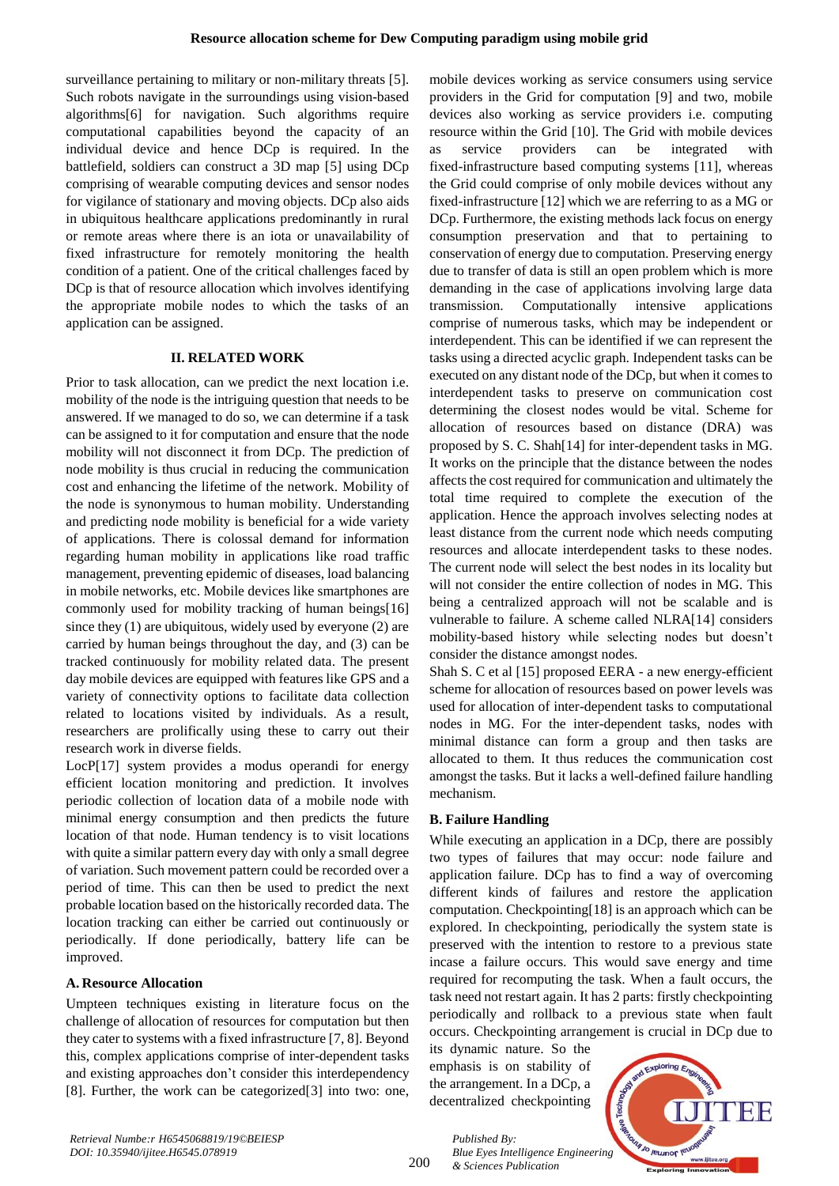surveillance pertaining to military or non-military threats [5]. Such robots navigate in the surroundings using vision-based algorithms[6] for navigation. Such algorithms require computational capabilities beyond the capacity of an individual device and hence DCp is required. In the battlefield, soldiers can construct a 3D map [5] using DCp comprising of wearable computing devices and sensor nodes for vigilance of stationary and moving objects. DCp also aids in ubiquitous healthcare applications predominantly in rural or remote areas where there is an iota or unavailability of fixed infrastructure for remotely monitoring the health condition of a patient. One of the critical challenges faced by DCp is that of resource allocation which involves identifying the appropriate mobile nodes to which the tasks of an application can be assigned.

## **II. RELATED WORK**

Prior to task allocation, can we predict the next location i.e. mobility of the node is the intriguing question that needs to be answered. If we managed to do so, we can determine if a task can be assigned to it for computation and ensure that the node mobility will not disconnect it from DCp. The prediction of node mobility is thus crucial in reducing the communication cost and enhancing the lifetime of the network. Mobility of the node is synonymous to human mobility. Understanding and predicting node mobility is beneficial for a wide variety of applications. There is colossal demand for information regarding human mobility in applications like road traffic management, preventing epidemic of diseases, load balancing in mobile networks, etc. Mobile devices like smartphones are commonly used for mobility tracking of human beings[16] since they (1) are ubiquitous, widely used by everyone (2) are carried by human beings throughout the day, and (3) can be tracked continuously for mobility related data. The present day mobile devices are equipped with features like GPS and a variety of connectivity options to facilitate data collection related to locations visited by individuals. As a result, researchers are prolifically using these to carry out their research work in diverse fields.

LocP[17] system provides a modus operandi for energy efficient location monitoring and prediction. It involves periodic collection of location data of a mobile node with minimal energy consumption and then predicts the future location of that node. Human tendency is to visit locations with quite a similar pattern every day with only a small degree of variation. Such movement pattern could be recorded over a period of time. This can then be used to predict the next probable location based on the historically recorded data. The location tracking can either be carried out continuously or periodically. If done periodically, battery life can be improved.

## **A. Resource Allocation**

Umpteen techniques existing in literature focus on the challenge of allocation of resources for computation but then they cater to systems with a fixed infrastructure [7, 8]. Beyond this, complex applications comprise of inter-dependent tasks and existing approaches don't consider this interdependency [8]. Further, the work can be categorized[3] into two: one, mobile devices working as service consumers using service providers in the Grid for computation [9] and two, mobile devices also working as service providers i.e. computing resource within the Grid [10]. The Grid with mobile devices as service providers can be integrated with fixed-infrastructure based computing systems [11], whereas the Grid could comprise of only mobile devices without any fixed-infrastructure [12] which we are referring to as a MG or DCp. Furthermore, the existing methods lack focus on energy consumption preservation and that to pertaining to conservation of energy due to computation. Preserving energy due to transfer of data is still an open problem which is more demanding in the case of applications involving large data transmission. Computationally intensive applications comprise of numerous tasks, which may be independent or interdependent. This can be identified if we can represent the tasks using a directed acyclic graph. Independent tasks can be executed on any distant node of the DCp, but when it comes to interdependent tasks to preserve on communication cost determining the closest nodes would be vital. Scheme for allocation of resources based on distance (DRA) was proposed by S. C. Shah[14] for inter-dependent tasks in MG. It works on the principle that the distance between the nodes affects the cost required for communication and ultimately the total time required to complete the execution of the application. Hence the approach involves selecting nodes at least distance from the current node which needs computing resources and allocate interdependent tasks to these nodes. The current node will select the best nodes in its locality but will not consider the entire collection of nodes in MG. This being a centralized approach will not be scalable and is vulnerable to failure. A scheme called NLRA[14] considers mobility-based history while selecting nodes but doesn't consider the distance amongst nodes.

Shah S. C et al [15] proposed EERA - a new energy-efficient scheme for allocation of resources based on power levels was used for allocation of inter-dependent tasks to computational nodes in MG. For the inter-dependent tasks, nodes with minimal distance can form a group and then tasks are allocated to them. It thus reduces the communication cost amongst the tasks. But it lacks a well-defined failure handling mechanism.

## **B. Failure Handling**

While executing an application in a DCp, there are possibly two types of failures that may occur: node failure and application failure. DCp has to find a way of overcoming different kinds of failures and restore the application computation. Checkpointing[18] is an approach which can be explored. In checkpointing, periodically the system state is preserved with the intention to restore to a previous state incase a failure occurs. This would save energy and time required for recomputing the task. When a fault occurs, the task need not restart again. It has 2 parts: firstly checkpointing periodically and rollback to a previous state when fault occurs. Checkpointing arrangement is crucial in DCp due to

its dynamic nature. So the emphasis is on stability of the arrangement. In a DCp, a decentralized checkpointing



200

*Published By: Blue Eyes Intelligence Engineering & Sciences Publication*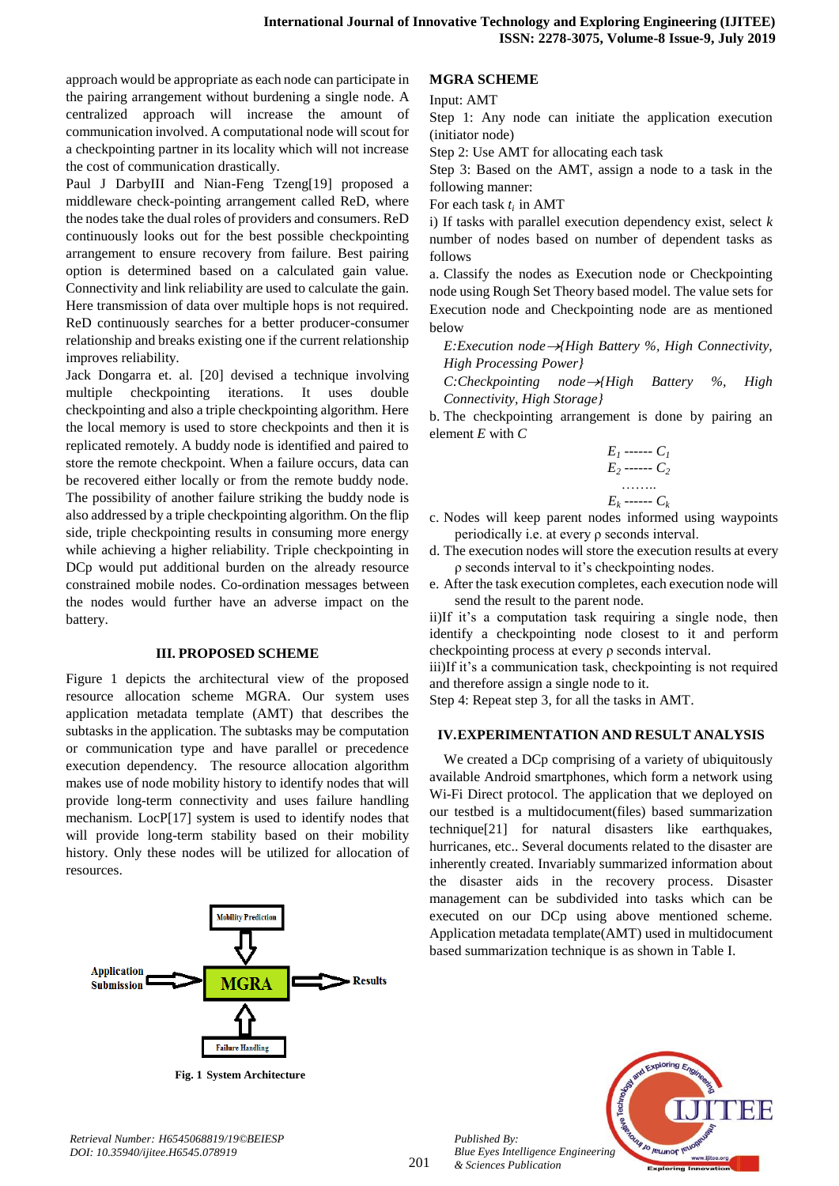approach would be appropriate as each node can participate in the pairing arrangement without burdening a single node. A centralized approach will increase the amount of communication involved. A computational node will scout for a checkpointing partner in its locality which will not increase the cost of communication drastically.

Paul J DarbyIII and Nian-Feng Tzeng[19] proposed a middleware check-pointing arrangement called ReD, where the nodes take the dual roles of providers and consumers. ReD continuously looks out for the best possible checkpointing arrangement to ensure recovery from failure. Best pairing option is determined based on a calculated gain value. Connectivity and link reliability are used to calculate the gain. Here transmission of data over multiple hops is not required. ReD continuously searches for a better producer-consumer relationship and breaks existing one if the current relationship improves reliability.

Jack Dongarra et. al. [20] devised a technique involving multiple checkpointing iterations. It uses double checkpointing and also a triple checkpointing algorithm. Here the local memory is used to store checkpoints and then it is replicated remotely. A buddy node is identified and paired to store the remote checkpoint. When a failure occurs, data can be recovered either locally or from the remote buddy node. The possibility of another failure striking the buddy node is also addressed by a triple checkpointing algorithm. On the flip side, triple checkpointing results in consuming more energy while achieving a higher reliability. Triple checkpointing in DCp would put additional burden on the already resource constrained mobile nodes. Co-ordination messages between the nodes would further have an adverse impact on the battery.

#### **III. PROPOSED SCHEME**

Figure 1 depicts the architectural view of the proposed resource allocation scheme MGRA. Our system uses application metadata template (AMT) that describes the subtasks in the application. The subtasks may be computation or communication type and have parallel or precedence execution dependency. The resource allocation algorithm makes use of node mobility history to identify nodes that will provide long-term connectivity and uses failure handling mechanism. LocP[17] system is used to identify nodes that will provide long-term stability based on their mobility history. Only these nodes will be utilized for allocation of resources.



**Fig. 1 System Architecture**

## **MGRA SCHEME**

Input: AMT

Step 1: Any node can initiate the application execution (initiator node)

Step 2: Use AMT for allocating each task

Step 3: Based on the AMT, assign a node to a task in the following manner:

For each task *ti* in AMT

i) If tasks with parallel execution dependency exist, select *k* number of nodes based on number of dependent tasks as follows

a. Classify the nodes as Execution node or Checkpointing node using Rough Set Theory based model. The value sets for Execution node and Checkpointing node are as mentioned below

*E:Execution node{High Battery %, High Connectivity, High Processing Power}*

*C:Checkpointing node{High Battery %, High Connectivity, High Storage}*

b. The checkpointing arrangement is done by pairing an element *E* with *C*

*E<sup>1</sup> ------ C<sup>1</sup> E<sup>2</sup> ------ C<sup>2</sup>* …….. *E<sup>k</sup> ------ C<sup>k</sup>*

c. Nodes will keep parent nodes informed using waypoints periodically i.e. at every ρ seconds interval.

d. The execution nodes will store the execution results at every ρ seconds interval to it's checkpointing nodes.

e. After the task execution completes, each execution node will send the result to the parent node.

ii)If it's a computation task requiring a single node, then identify a checkpointing node closest to it and perform checkpointing process at every ρ seconds interval.

iii)If it's a communication task, checkpointing is not required and therefore assign a single node to it.

Step 4: Repeat step 3, for all the tasks in AMT.

### **IV.EXPERIMENTATION AND RESULT ANALYSIS**

We created a DCp comprising of a variety of ubiquitously available Android smartphones, which form a network using Wi-Fi Direct protocol. The application that we deployed on our testbed is a multidocument(files) based summarization technique[21] for natural disasters like earthquakes, hurricanes, etc.. Several documents related to the disaster are inherently created. Invariably summarized information about the disaster aids in the recovery process. Disaster management can be subdivided into tasks which can be executed on our DCp using above mentioned scheme. Application metadata template(AMT) used in multidocument based summarization technique is as shown in Table I.

*Retrieval Number: H6545068819/19©BEIESP DOI: 10.35940/ijitee.H6545.078919*

*Published By:*

*& Sciences Publication* 

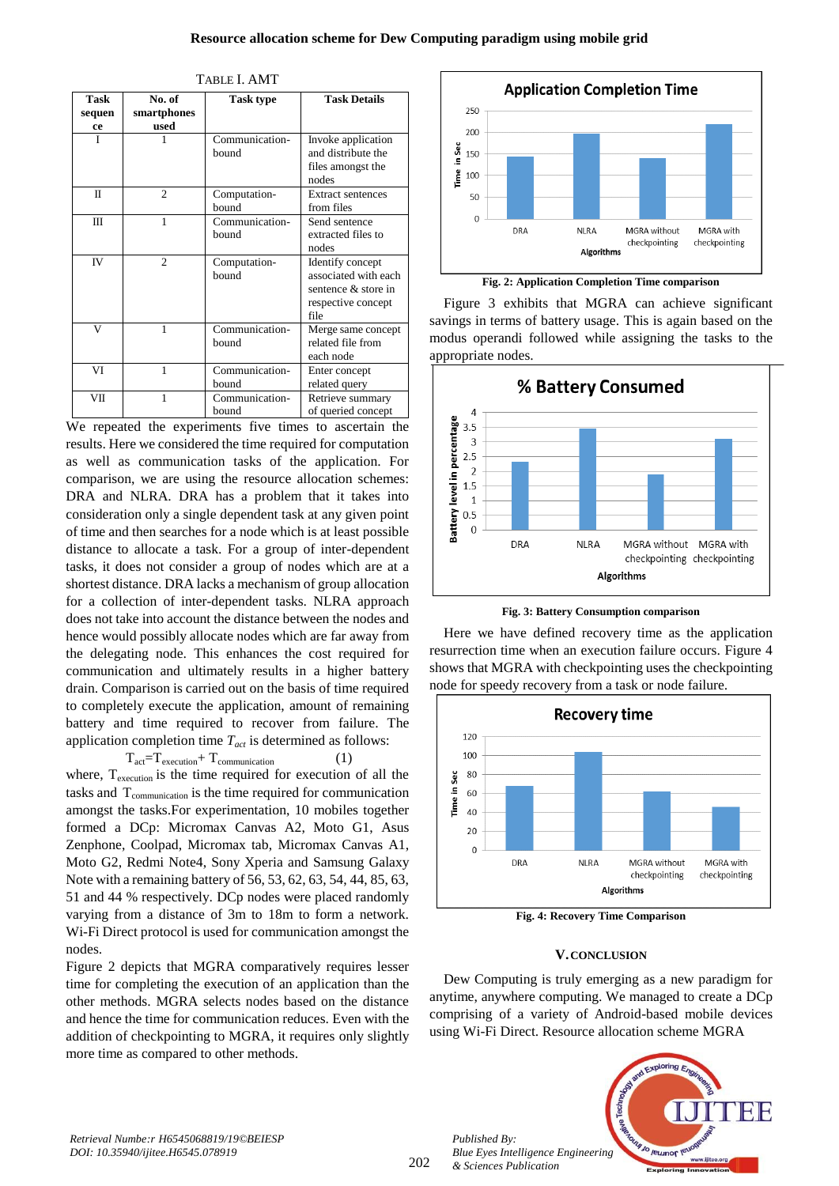| TABLE I. AMT         |                               |                         |                                                                                               |
|----------------------|-------------------------------|-------------------------|-----------------------------------------------------------------------------------------------|
| Task<br>sequen<br>ce | No. of<br>smartphones<br>used | <b>Task type</b>        | <b>Task Details</b>                                                                           |
| Ī                    |                               | Communication-<br>bound | Invoke application<br>and distribute the<br>files amongst the<br>nodes                        |
| Π                    | $\overline{c}$                | Computation-<br>bound   | <b>Extract sentences</b><br>from files                                                        |
| Ш                    | 1                             | Communication-<br>bound | Send sentence<br>extracted files to<br>nodes                                                  |
| <b>IV</b>            | $\mathfrak{D}$                | Computation-<br>bound   | Identify concept<br>associated with each<br>sentence & store in<br>respective concept<br>file |
| V                    | 1                             | Communication-<br>bound | Merge same concept<br>related file from<br>each node                                          |
| VI                   | 1                             | Communication-<br>bound | Enter concept<br>related query                                                                |
| VII                  | 1                             | Communication-<br>bound | Retrieve summary<br>of queried concept                                                        |

We repeated the experiments five times to ascertain the results. Here we considered the time required for computation as well as communication tasks of the application. For comparison, we are using the resource allocation schemes: DRA and NLRA. DRA has a problem that it takes into consideration only a single dependent task at any given point of time and then searches for a node which is at least possible distance to allocate a task. For a group of inter-dependent tasks, it does not consider a group of nodes which are at a shortest distance. DRA lacks a mechanism of group allocation for a collection of inter-dependent tasks. NLRA approach does not take into account the distance between the nodes and hence would possibly allocate nodes which are far away from the delegating node. This enhances the cost required for communication and ultimately results in a higher battery drain. Comparison is carried out on the basis of time required to completely execute the application, amount of remaining battery and time required to recover from failure. The application completion time *Tact* is determined as follows:

 $T_{\text{act}}=T_{\text{execution}}+T_{\text{communication}}$  (1) where,  $T_{\text{execution}}$  is the time required for execution of all the tasks and T<sub>communication</sub> is the time required for communication amongst the tasks.For experimentation, 10 mobiles together formed a DCp: Micromax Canvas A2, Moto G1, Asus Zenphone, Coolpad, Micromax tab, Micromax Canvas A1, Moto G2, Redmi Note4, Sony Xperia and Samsung Galaxy Note with a remaining battery of 56, 53, 62, 63, 54, 44, 85, 63, 51 and 44 % respectively. DCp nodes were placed randomly varying from a distance of 3m to 18m to form a network. Wi-Fi Direct protocol is used for communication amongst the nodes.

Figure 2 depicts that MGRA comparatively requires lesser time for completing the execution of an application than the other methods. MGRA selects nodes based on the distance and hence the time for communication reduces. Even with the addition of checkpointing to MGRA, it requires only slightly more time as compared to other methods.



Figure 3 exhibits that MGRA can achieve significant savings in terms of battery usage. This is again based on the

modus operandi followed while assigning the tasks to the

appropriate nodes. % Battery Consumed  $\overline{a}$ **Sattery level in percentage**  $3.5$  $\overline{3}$  $2.5$  $\overline{z}$  $1.5$  $\overline{1}$  $0.5$  $\overline{0}$ **DRA** NI RA MGRA without MGRA with checkpointing checkpointing Algorithms



Here we have defined recovery time as the application resurrection time when an execution failure occurs. Figure 4 shows that MGRA with checkpointing uses the checkpointing node for speedy recovery from a task or node failure.



**Fig. 4: Recovery Time Comparison**

## **V.CONCLUSION**

Dew Computing is truly emerging as a new paradigm for anytime, anywhere computing. We managed to create a DCp comprising of a variety of Android-based mobile devices using Wi-Fi Direct. Resource allocation scheme MGRA



*Retrieval Numbe:r H6545068819/19©BEIESP DOI: 10.35940/ijitee.H6545.078919*

202

*Published By: Blue Eyes Intelligence Engineering & Sciences Publication*